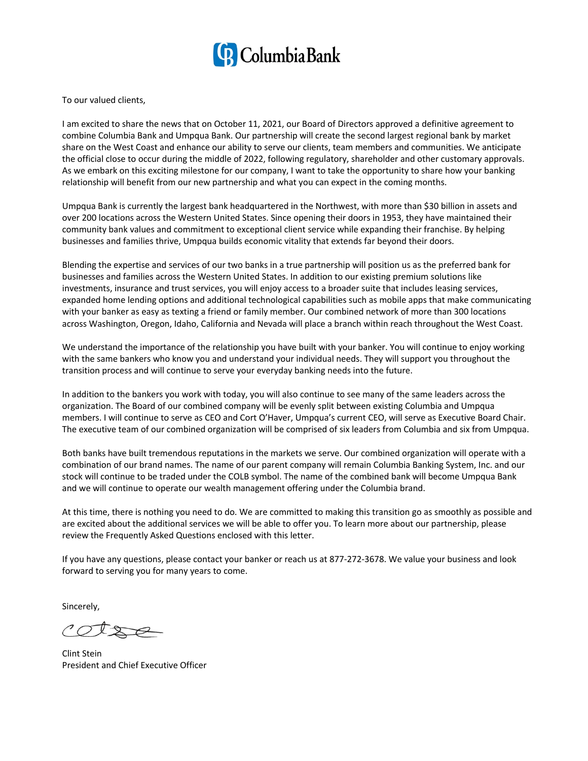

To our valued clients,

I am excited to share the news that on October 11, 2021, our Board of Directors approved a definitive agreement to combine Columbia Bank and Umpqua Bank. Our partnership will create the second largest regional bank by market share on the West Coast and enhance our ability to serve our clients, team members and communities. We anticipate the official close to occur during the middle of 2022, following regulatory, shareholder and other customary approvals. As we embark on this exciting milestone for our company, I want to take the opportunity to share how your banking relationship will benefit from our new partnership and what you can expect in the coming months.

Umpqua Bank is currently the largest bank headquartered in the Northwest, with more than \$30 billion in assets and over 200 locations across the Western United States. Since opening their doors in 1953, they have maintained their community bank values and commitment to exceptional client service while expanding their franchise. By helping businesses and families thrive, Umpqua builds economic vitality that extends far beyond their doors.

Blending the expertise and services of our two banks in a true partnership will position us as the preferred bank for businesses and families across the Western United States. In addition to our existing premium solutions like investments, insurance and trust services, you will enjoy access to a broader suite that includes leasing services, expanded home lending options and additional technological capabilities such as mobile apps that make communicating with your banker as easy as texting a friend or family member. Our combined network of more than 300 locations across Washington, Oregon, Idaho, California and Nevada will place a branch within reach throughout the West Coast.

We understand the importance of the relationship you have built with your banker. You will continue to enjoy working with the same bankers who know you and understand your individual needs. They will support you throughout the transition process and will continue to serve your everyday banking needs into the future.

In addition to the bankers you work with today, you will also continue to see many of the same leaders across the organization. The Board of our combined company will be evenly split between existing Columbia and Umpqua members. I will continue to serve as CEO and Cort O'Haver, Umpqua's current CEO, will serve as Executive Board Chair. The executive team of our combined organization will be comprised of six leaders from Columbia and six from Umpqua.

Both banks have built tremendous reputations in the markets we serve. Our combined organization will operate with a combination of our brand names. The name of our parent company will remain Columbia Banking System, Inc. and our stock will continue to be traded under the COLB symbol. The name of the combined bank will become Umpqua Bank and we will continue to operate our wealth management offering under the Columbia brand.

At this time, there is nothing you need to do. We are committed to making this transition go as smoothly as possible and are excited about the additional services we will be able to offer you. To learn more about our partnership, please review the Frequently Asked Questions enclosed with this letter.

If you have any questions, please contact your banker or reach us at 877-272-3678. We value your business and look forward to serving you for many years to come.

Sincerely,

 $1012$ 

Clint Stein President and Chief Executive Officer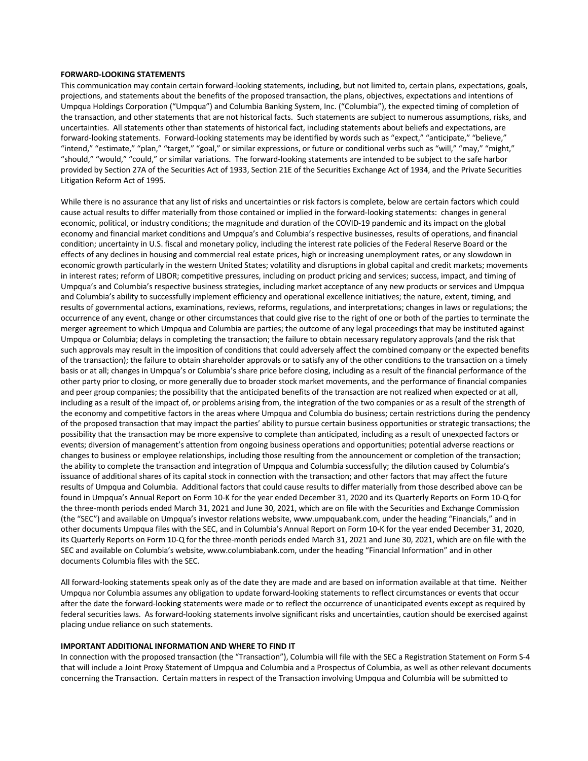## **FORWARD-LOOKING STATEMENTS**

This communication may contain certain forward-looking statements, including, but not limited to, certain plans, expectations, goals, projections, and statements about the benefits of the proposed transaction, the plans, objectives, expectations and intentions of Umpqua Holdings Corporation ("Umpqua") and Columbia Banking System, Inc. ("Columbia"), the expected timing of completion of the transaction, and other statements that are not historical facts. Such statements are subject to numerous assumptions, risks, and uncertainties. All statements other than statements of historical fact, including statements about beliefs and expectations, are forward-looking statements. Forward-looking statements may be identified by words such as "expect," "anticipate," "believe," "intend," "estimate," "plan," "target," "goal," or similar expressions, or future or conditional verbs such as "will," "may," "might," "should," "would," "could," or similar variations. The forward-looking statements are intended to be subject to the safe harbor provided by Section 27A of the Securities Act of 1933, Section 21E of the Securities Exchange Act of 1934, and the Private Securities Litigation Reform Act of 1995.

While there is no assurance that any list of risks and uncertainties or risk factors is complete, below are certain factors which could cause actual results to differ materially from those contained or implied in the forward-looking statements: changes in general economic, political, or industry conditions; the magnitude and duration of the COVID-19 pandemic and its impact on the global economy and financial market conditions and Umpqua's and Columbia's respective businesses, results of operations, and financial condition; uncertainty in U.S. fiscal and monetary policy, including the interest rate policies of the Federal Reserve Board or the effects of any declines in housing and commercial real estate prices, high or increasing unemployment rates, or any slowdown in economic growth particularly in the western United States; volatility and disruptions in global capital and credit markets; movements in interest rates; reform of LIBOR; competitive pressures, including on product pricing and services; success, impact, and timing of Umpqua's and Columbia's respective business strategies, including market acceptance of any new products or services and Umpqua and Columbia's ability to successfully implement efficiency and operational excellence initiatives; the nature, extent, timing, and results of governmental actions, examinations, reviews, reforms, regulations, and interpretations; changes in laws or regulations; the occurrence of any event, change or other circumstances that could give rise to the right of one or both of the parties to terminate the merger agreement to which Umpqua and Columbia are parties; the outcome of any legal proceedings that may be instituted against Umpqua or Columbia; delays in completing the transaction; the failure to obtain necessary regulatory approvals (and the risk that such approvals may result in the imposition of conditions that could adversely affect the combined company or the expected benefits of the transaction); the failure to obtain shareholder approvals or to satisfy any of the other conditions to the transaction on a timely basis or at all; changes in Umpqua's or Columbia's share price before closing, including as a result of the financial performance of the other party prior to closing, or more generally due to broader stock market movements, and the performance of financial companies and peer group companies; the possibility that the anticipated benefits of the transaction are not realized when expected or at all, including as a result of the impact of, or problems arising from, the integration of the two companies or as a result of the strength of the economy and competitive factors in the areas where Umpqua and Columbia do business; certain restrictions during the pendency of the proposed transaction that may impact the parties' ability to pursue certain business opportunities or strategic transactions; the possibility that the transaction may be more expensive to complete than anticipated, including as a result of unexpected factors or events; diversion of management's attention from ongoing business operations and opportunities; potential adverse reactions or changes to business or employee relationships, including those resulting from the announcement or completion of the transaction; the ability to complete the transaction and integration of Umpqua and Columbia successfully; the dilution caused by Columbia's issuance of additional shares of its capital stock in connection with the transaction; and other factors that may affect the future results of Umpqua and Columbia. Additional factors that could cause results to differ materially from those described above can be found in Umpqua's Annual Report on Form 10-K for the year ended December 31, 2020 and its Quarterly Reports on Form 10-Q for the three-month periods ended March 31, 2021 and June 30, 2021, which are on file with the Securities and Exchange Commission (the "SEC") and available on Umpqua's investor relations website, www.umpquabank.com, under the heading "Financials," and in other documents Umpqua files with the SEC, and in Columbia's Annual Report on Form 10-K for the year ended December 31, 2020, its Quarterly Reports on Form 10-Q for the three-month periods ended March 31, 2021 and June 30, 2021, which are on file with the SEC and available on Columbia's website, www.columbiabank.com, under the heading "Financial Information" and in other documents Columbia files with the SEC.

All forward-looking statements speak only as of the date they are made and are based on information available at that time. Neither Umpqua nor Columbia assumes any obligation to update forward-looking statements to reflect circumstances or events that occur after the date the forward-looking statements were made or to reflect the occurrence of unanticipated events except as required by federal securities laws. As forward-looking statements involve significant risks and uncertainties, caution should be exercised against placing undue reliance on such statements.

## **IMPORTANT ADDITIONAL INFORMATION AND WHERE TO FIND IT**

In connection with the proposed transaction (the "Transaction"), Columbia will file with the SEC a Registration Statement on Form S-4 that will include a Joint Proxy Statement of Umpqua and Columbia and a Prospectus of Columbia, as well as other relevant documents concerning the Transaction. Certain matters in respect of the Transaction involving Umpqua and Columbia will be submitted to